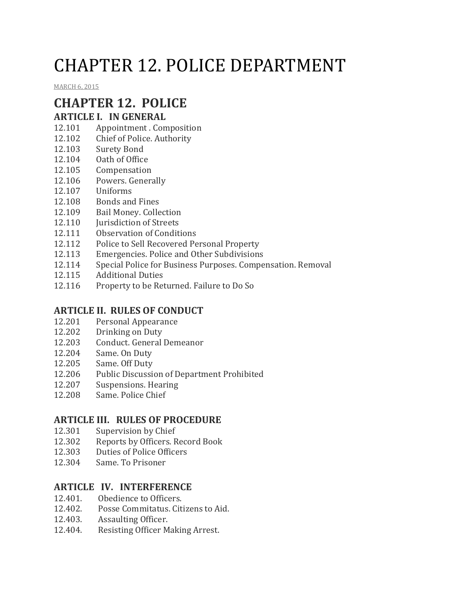# CHAPTER 12. POLICE DEPARTMENT

[MARCH](http://townofcampobello.us/chapter-12-police-department/) 6, 2015

# **CHAPTER 12. POLICE**

# **ARTICLE I. IN GENERAL**

- 12.101 Appointment . Composition
- 12.102 Chief of Police. Authority
- 12.103 Surety Bond
- 12.104 Oath of Office
- 12.105 Compensation
- 12.106 Powers. Generally
- 12.107 Uniforms
- 12.108 Bonds and Fines
- 12.109 Bail Money. Collection
- 12.110 **Iurisdiction of Streets**
- 12.111 Observation of Conditions
- 12.112 Police to Sell Recovered Personal Property
- 12.113 Emergencies. Police and Other Subdivisions
- 12.114 Special Police for Business Purposes. Compensation. Removal
- 12.115 Additional Duties
- 12.116 Property to be Returned. Failure to Do So

#### **ARTICLE II. RULES OF CONDUCT**

- 12.201 Personal Appearance
- 12.202 Drinking on Duty
- 12.203 Conduct. General Demeanor
- 12.204 Same. On Duty
- 12.205 Same. Off Duty
- 12.206 Public Discussion of Department Prohibited
- 12.207 Suspensions. Hearing
- 12.208 Same. Police Chief

#### **ARTICLE III. RULES OF PROCEDURE**

- 12.301 Supervision by Chief
- 12.302 Reports by Officers. Record Book
- 12.303 Duties of Police Officers
- 12.304 Same. To Prisoner

#### **ARTICLE IV. INTERFERENCE**

- 12.401. Obedience to Officers.
- 12.402. Posse Commitatus. Citizens to Aid.
- 12.403. Assaulting Officer.
- 12.404. Resisting Officer Making Arrest.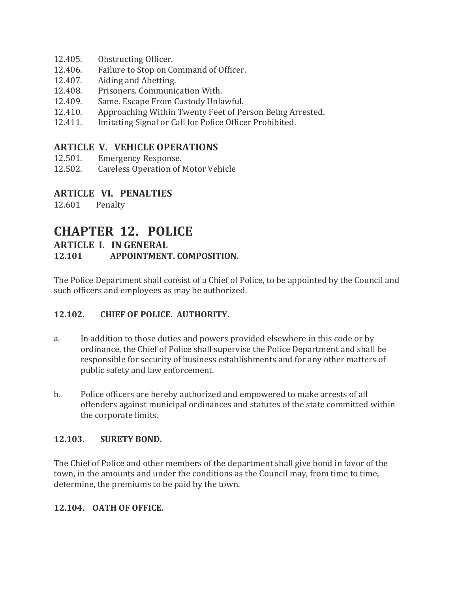- 12.405. Obstructing Officer.
- 12.406. Failure to Stop on Command of Officer.
- 12.407. Aiding and Abetting.
- 12.408. Prisoners. Communication With.
- 12.409. Same. Escape From Custody Unlawful.
- 12.410. Approaching Within Twenty Feet of Person Being Arrested.
- 12.411. Imitating Signal or Call for Police Officer Prohibited.

#### **ARTICLE V. VEHICLE OPERATIONS**

- 12.501. Emergency Response.
- 12.502. Careless Operation of Motor Vehicle

#### **ARTICLE VI. PENALTIES**

12.601 Penalty

# **CHAPTER 12. POLICE**

**ARTICLE I. IN GENERAL**

#### **12.101 APPOINTMENT. COMPOSITION.**

The Police Department shall consist of a Chief of Police, to be appointed by the Council and such officers and employees as may be authorized.

#### **12.102. CHIEF OF POLICE. AUTHORITY.**

- a. In addition to those duties and powers provided elsewhere in this code or by ordinance, the Chief of Police shall supervise the Police Department and shall be responsible for security of business establishments and for any other matters of public safety and law enforcement.
- b. Police officers are hereby authorized and empowered to make arrests of all offenders against municipal ordinances and statutes of the state committed within the corporate limits.

#### **12.103. SURETY BOND.**

The Chief of Police and other members of the department shall give bond in favor of the town, in the amounts and under the conditions as the Council may, from time to time, determine, the premiums to be paid by the town.

#### **12.104. OATH OF OFFICE.**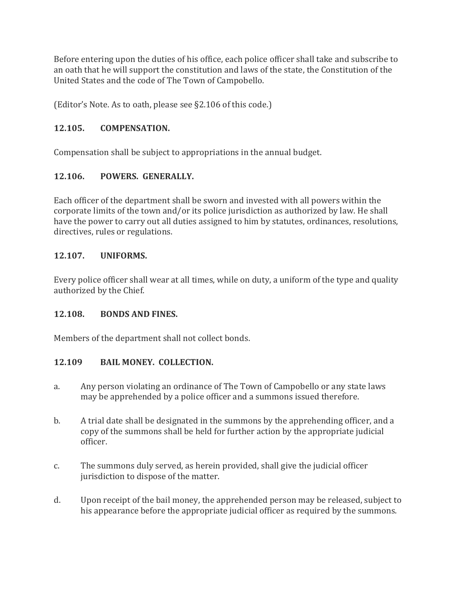Before entering upon the duties of his office, each police officer shall take and subscribe to an oath that he will support the constitution and laws of the state, the Constitution of the United States and the code of The Town of Campobello.

(Editor's Note. As to oath, please see §2.106 of this code.)

# **12.105. COMPENSATION.**

Compensation shall be subject to appropriations in the annual budget.

#### **12.106. POWERS. GENERALLY.**

Each officer of the department shall be sworn and invested with all powers within the corporate limits of the town and/or its police jurisdiction as authorized by law. He shall have the power to carry out all duties assigned to him by statutes, ordinances, resolutions, directives, rules or regulations.

#### **12.107. UNIFORMS.**

Every police officer shall wear at all times, while on duty, a uniform of the type and quality authorized by the Chief.

#### **12.108. BONDS AND FINES.**

Members of the department shall not collect bonds.

#### **12.109 BAIL MONEY. COLLECTION.**

- a. Any person violating an ordinance of The Town of Campobello or any state laws may be apprehended by a police officer and a summons issued therefore.
- b. A trial date shall be designated in the summons by the apprehending officer, and a copy of the summons shall be held for further action by the appropriate judicial officer.
- c. The summons duly served, as herein provided, shall give the judicial officer jurisdiction to dispose of the matter.
- d. Upon receipt of the bail money, the apprehended person may be released, subject to his appearance before the appropriate judicial officer as required by the summons.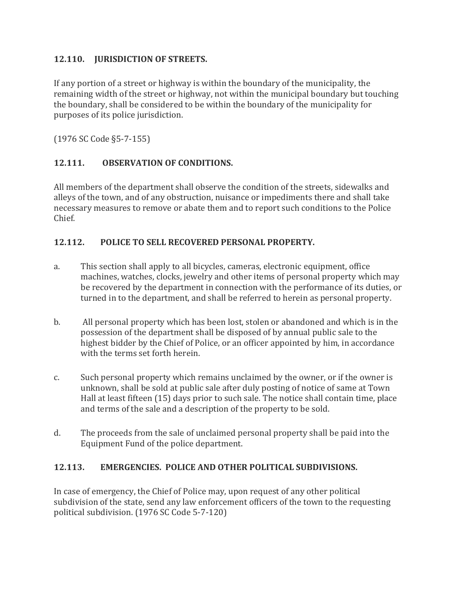#### **12.110. JURISDICTION OF STREETS.**

If any portion of a street or highway is within the boundary of the municipality, the remaining width of the street or highway, not within the municipal boundary but touching the boundary, shall be considered to be within the boundary of the municipality for purposes of its police jurisdiction.

(1976 SC Code §5-7-155)

#### **12.111. OBSERVATION OF CONDITIONS.**

All members of the department shall observe the condition of the streets, sidewalks and alleys of the town, and of any obstruction, nuisance or impediments there and shall take necessary measures to remove or abate them and to report such conditions to the Police Chief.

#### **12.112. POLICE TO SELL RECOVERED PERSONAL PROPERTY.**

- a. This section shall apply to all bicycles, cameras, electronic equipment, office machines, watches, clocks, jewelry and other items of personal property which may be recovered by the department in connection with the performance of its duties, or turned in to the department, and shall be referred to herein as personal property.
- b. All personal property which has been lost, stolen or abandoned and which is in the possession of the department shall be disposed of by annual public sale to the highest bidder by the Chief of Police, or an officer appointed by him, in accordance with the terms set forth herein.
- c. Such personal property which remains unclaimed by the owner, or if the owner is unknown, shall be sold at public sale after duly posting of notice of same at Town Hall at least fifteen (15) days prior to such sale. The notice shall contain time, place and terms of the sale and a description of the property to be sold.
- d. The proceeds from the sale of unclaimed personal property shall be paid into the Equipment Fund of the police department.

#### **12.113. EMERGENCIES. POLICE AND OTHER POLITICAL SUBDIVISIONS.**

In case of emergency, the Chief of Police may, upon request of any other political subdivision of the state, send any law enforcement officers of the town to the requesting political subdivision. (1976 SC Code 5-7-120)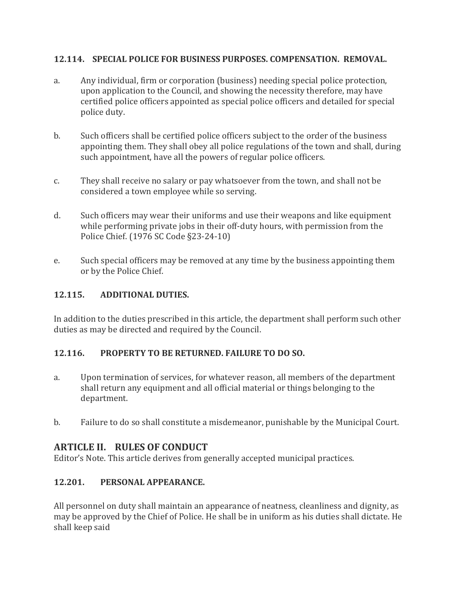#### **12.114. SPECIAL POLICE FOR BUSINESS PURPOSES. COMPENSATION. REMOVAL.**

- a. Any individual, firm or corporation (business) needing special police protection, upon application to the Council, and showing the necessity therefore, may have certified police officers appointed as special police officers and detailed for special police duty.
- b. Such officers shall be certified police officers subject to the order of the business appointing them. They shall obey all police regulations of the town and shall, during such appointment, have all the powers of regular police officers.
- c. They shall receive no salary or pay whatsoever from the town, and shall not be considered a town employee while so serving.
- d. Such officers may wear their uniforms and use their weapons and like equipment while performing private jobs in their off-duty hours, with permission from the Police Chief. (1976 SC Code §23-24-10)
- e. Such special officers may be removed at any time by the business appointing them or by the Police Chief.

#### **12.115. ADDITIONAL DUTIES.**

In addition to the duties prescribed in this article, the department shall perform such other duties as may be directed and required by the Council.

#### **12.116. PROPERTY TO BE RETURNED. FAILURE TO DO SO.**

- a. Upon termination of services, for whatever reason, all members of the department shall return any equipment and all official material or things belonging to the department.
- b. Failure to do so shall constitute a misdemeanor, punishable by the Municipal Court.

# **ARTICLE II. RULES OF CONDUCT**

Editor's Note. This article derives from generally accepted municipal practices.

# **12.201. PERSONAL APPEARANCE.**

All personnel on duty shall maintain an appearance of neatness, cleanliness and dignity, as may be approved by the Chief of Police. He shall be in uniform as his duties shall dictate. He shall keep said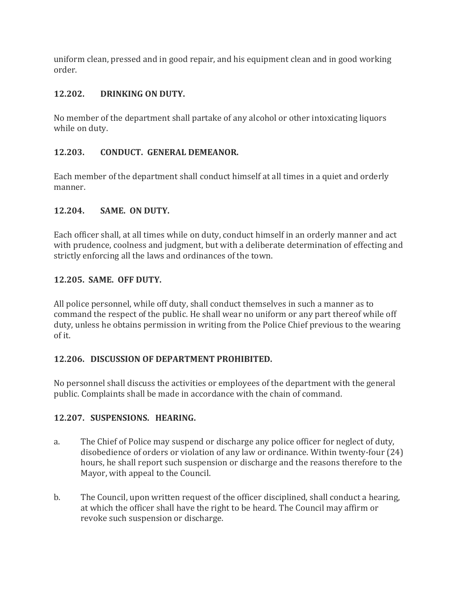uniform clean, pressed and in good repair, and his equipment clean and in good working order.

#### **12.202. DRINKING ON DUTY.**

No member of the department shall partake of any alcohol or other intoxicating liquors while on duty.

#### **12.203. CONDUCT. GENERAL DEMEANOR.**

Each member of the department shall conduct himself at all times in a quiet and orderly manner.

#### **12.204. SAME. ON DUTY.**

Each officer shall, at all times while on duty, conduct himself in an orderly manner and act with prudence, coolness and judgment, but with a deliberate determination of effecting and strictly enforcing all the laws and ordinances of the town.

#### **12.205. SAME. OFF DUTY.**

All police personnel, while off duty, shall conduct themselves in such a manner as to command the respect of the public. He shall wear no uniform or any part thereof while off duty, unless he obtains permission in writing from the Police Chief previous to the wearing of it.

# **12.206. DISCUSSION OF DEPARTMENT PROHIBITED.**

No personnel shall discuss the activities or employees of the department with the general public. Complaints shall be made in accordance with the chain of command.

# **12.207. SUSPENSIONS. HEARING.**

- a. The Chief of Police may suspend or discharge any police officer for neglect of duty, disobedience of orders or violation of any law or ordinance. Within twenty-four (24) hours, he shall report such suspension or discharge and the reasons therefore to the Mayor, with appeal to the Council.
- b. The Council, upon written request of the officer disciplined, shall conduct a hearing, at which the officer shall have the right to be heard. The Council may affirm or revoke such suspension or discharge.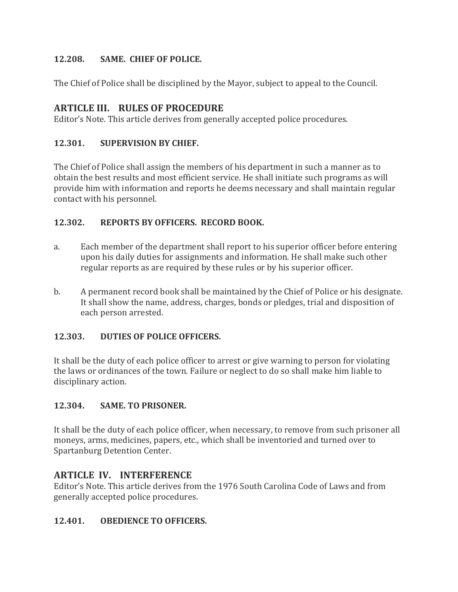#### **12.208. SAME. CHIEF OF POLICE.**

The Chief of Police shall be disciplined by the Mayor, subject to appeal to the Council.

# **ARTICLE III. RULES OF PROCEDURE**

Editor's Note. This article derives from generally accepted police procedures.

# **12.301. SUPERVISION BY CHIEF.**

The Chief of Police shall assign the members of his department in such a manner as to obtain the best results and most efficient service. He shall initiate such programs as will provide him with information and reports he deems necessary and shall maintain regular contact with his personnel.

# **12.302. REPORTS BY OFFICERS. RECORD BOOK.**

- a. Each member of the department shall report to his superior officer before entering upon his daily duties for assignments and information. He shall make such other regular reports as are required by these rules or by his superior officer.
- b. A permanent record book shall be maintained by the Chief of Police or his designate. It shall show the name, address, charges, bonds or pledges, trial and disposition of each person arrested.

# **12.303. DUTIES OF POLICE OFFICERS.**

It shall be the duty of each police officer to arrest or give warning to person for violating the laws or ordinances of the town. Failure or neglect to do so shall make him liable to disciplinary action.

# **12.304. SAME. TO PRISONER.**

It shall be the duty of each police officer, when necessary, to remove from such prisoner all moneys, arms, medicines, papers, etc., which shall be inventoried and turned over to Spartanburg Detention Center.

# **ARTICLE IV. INTERFERENCE**

Editor's Note. This article derives from the 1976 South Carolina Code of Laws and from generally accepted police procedures.

#### **12.401. OBEDIENCE TO OFFICERS.**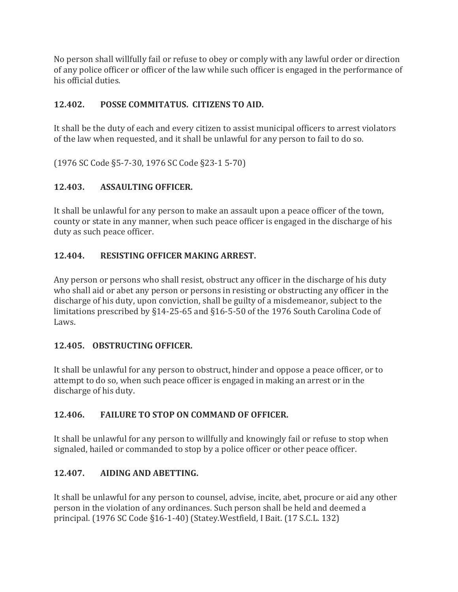No person shall willfully fail or refuse to obey or comply with any lawful order or direction of any police officer or officer of the law while such officer is engaged in the performance of his official duties.

### **12.402. POSSE COMMITATUS. CITIZENS TO AID.**

It shall be the duty of each and every citizen to assist municipal officers to arrest violators of the law when requested, and it shall be unlawful for any person to fail to do so.

(1976 SC Code §5-7-30, 1976 SC Code §23-1 5-70)

#### **12.403. ASSAULTING OFFICER.**

It shall be unlawful for any person to make an assault upon a peace officer of the town, county or state in any manner, when such peace officer is engaged in the discharge of his duty as such peace officer.

#### **12.404. RESISTING OFFICER MAKING ARREST.**

Any person or persons who shall resist, obstruct any officer in the discharge of his duty who shall aid or abet any person or persons in resisting or obstructing any officer in the discharge of his duty, upon conviction, shall be guilty of a misdemeanor, subject to the limitations prescribed by §14-25-65 and §16-5-50 of the 1976 South Carolina Code of Laws.

#### **12.405. OBSTRUCTING OFFICER.**

It shall be unlawful for any person to obstruct, hinder and oppose a peace officer, or to attempt to do so, when such peace officer is engaged in making an arrest or in the discharge of his duty.

#### **12.406. FAILURE TO STOP ON COMMAND OF OFFICER.**

It shall be unlawful for any person to willfully and knowingly fail or refuse to stop when signaled, hailed or commanded to stop by a police officer or other peace officer.

# **12.407. AIDING AND ABETTING.**

It shall be unlawful for any person to counsel, advise, incite, abet, procure or aid any other person in the violation of any ordinances. Such person shall be held and deemed a principal. (1976 SC Code §16-1-40) (Statey.Westfield, I Bait. (17 S.C.L. 132)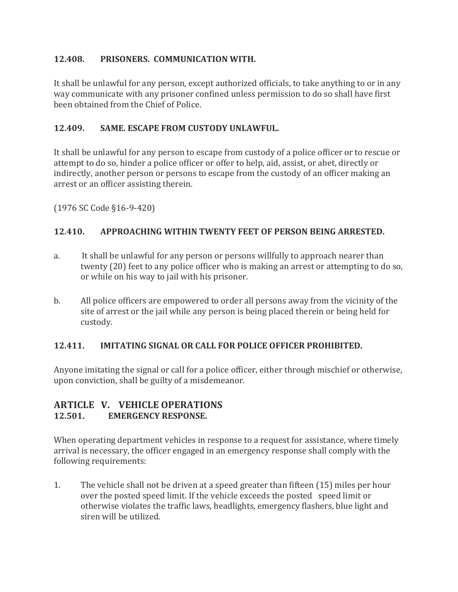#### **12.408. PRISONERS. COMMUNICATION WITH.**

It shall be unlawful for any person, except authorized officials, to take anything to or in any way communicate with any prisoner confined unless permission to do so shall have first been obtained from the Chief of Police.

#### **12.409. SAME. ESCAPE FROM CUSTODY UNLAWFUL.**

It shall be unlawful for any person to escape from custody of a police officer or to rescue or attempt to do so, hinder a police officer or offer to help, aid, assist, or abet, directly or indirectly, another person or persons to escape from the custody of an officer making an arrest or an officer assisting therein.

(1976 SC Code §16-9-420)

#### **12.410. APPROACHING WITHIN TWENTY FEET OF PERSON BEING ARRESTED.**

- a. It shall be unlawful for any person or persons willfully to approach nearer than twenty (20) feet to any police officer who is making an arrest or attempting to do so, or while on his way to jail with his prisoner.
- b. All police officers are empowered to order all persons away from the vicinity of the site of arrest or the jail while any person is being placed therein or being held for custody.

#### **12.411. IMITATING SIGNAL OR CALL FOR POLICE OFFICER PROHIBITED.**

Anyone imitating the signal or call for a police officer, either through mischief or otherwise, upon conviction, shall be guilty of a misdemeanor.

#### **ARTICLE V. VEHICLE OPERATIONS 12.501. EMERGENCY RESPONSE.**

When operating department vehicles in response to a request for assistance, where timely arrival is necessary, the officer engaged in an emergency response shall comply with the following requirements:

1. The vehicle shall not be driven at a speed greater than fifteen (15) miles per hour over the posted speed limit. If the vehicle exceeds the posted speed limit or otherwise violates the traffic laws, headlights, emergency flashers, blue light and siren will be utilized.